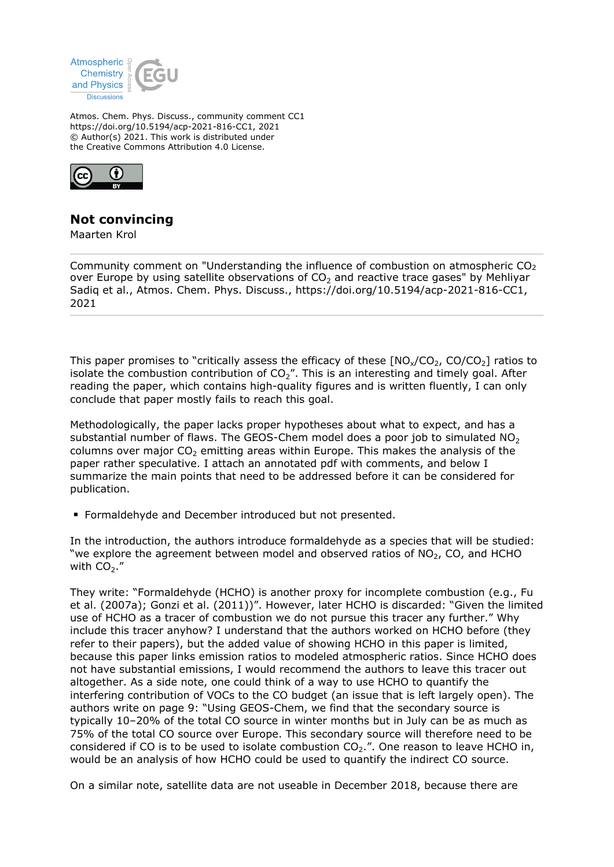

Atmos. Chem. Phys. Discuss., community comment CC1 https://doi.org/10.5194/acp-2021-816-CC1, 2021 © Author(s) 2021. This work is distributed under the Creative Commons Attribution 4.0 License.



## **Not convincing**

Maarten Krol

Community comment on "Understanding the influence of combustion on atmospheric  $CO<sub>2</sub>$ over Europe by using satellite observations of  $CO<sub>2</sub>$  and reactive trace gases" by Mehliyar Sadiq et al., Atmos. Chem. Phys. Discuss., https://doi.org/10.5194/acp-2021-816-CC1, 2021

This paper promises to "critically assess the efficacy of these  $[NO_x/CO_2, CO/CO_2]$  ratios to isolate the combustion contribution of  $CO<sub>2</sub>$ ". This is an interesting and timely goal. After reading the paper, which contains high-quality figures and is written fluently, I can only conclude that paper mostly fails to reach this goal.

Methodologically, the paper lacks proper hypotheses about what to expect, and has a substantial number of flaws. The GEOS-Chem model does a poor job to simulated  $NO<sub>2</sub>$ columns over major  $CO<sub>2</sub>$  emitting areas within Europe. This makes the analysis of the paper rather speculative. I attach an annotated pdf with comments, and below I summarize the main points that need to be addressed before it can be considered for publication.

Formaldehyde and December introduced but not presented.

In the introduction, the authors introduce formaldehyde as a species that will be studied: "we explore the agreement between model and observed ratios of  $NO<sub>2</sub>$ , CO, and HCHO with  $CO<sub>2</sub>$ ."

They write: "Formaldehyde (HCHO) is another proxy for incomplete combustion (e.g., Fu et al. (2007a); Gonzi et al. (2011))". However, later HCHO is discarded: "Given the limited use of HCHO as a tracer of combustion we do not pursue this tracer any further." Why include this tracer anyhow? I understand that the authors worked on HCHO before (they refer to their papers), but the added value of showing HCHO in this paper is limited, because this paper links emission ratios to modeled atmospheric ratios. Since HCHO does not have substantial emissions, I would recommend the authors to leave this tracer out altogether. As a side note, one could think of a way to use HCHO to quantify the interfering contribution of VOCs to the CO budget (an issue that is left largely open). The authors write on page 9: "Using GEOS-Chem, we find that the secondary source is typically 10–20% of the total CO source in winter months but in July can be as much as 75% of the total CO source over Europe. This secondary source will therefore need to be considered if CO is to be used to isolate combustion  $CO<sub>2</sub>$ .". One reason to leave HCHO in, would be an analysis of how HCHO could be used to quantify the indirect CO source.

On a similar note, satellite data are not useable in December 2018, because there are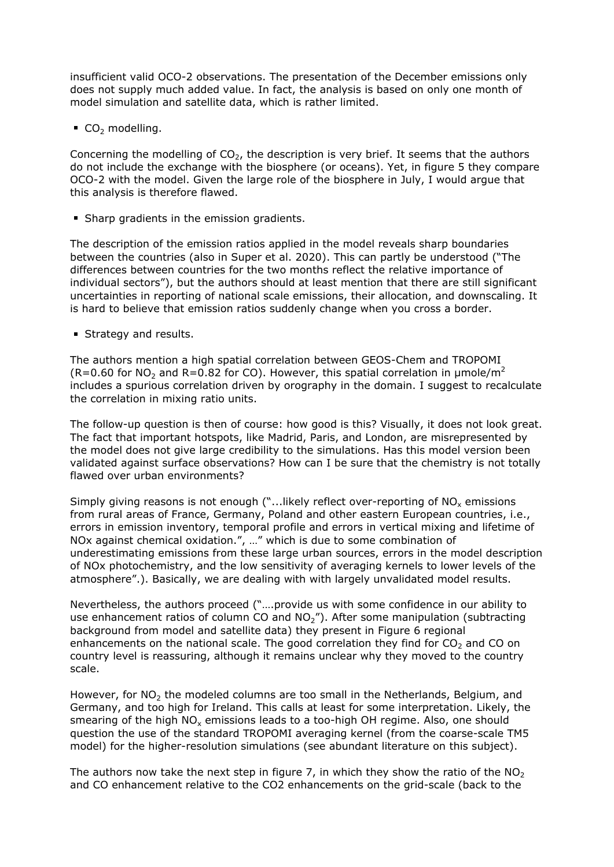insufficient valid OCO-2 observations. The presentation of the December emissions only does not supply much added value. In fact, the analysis is based on only one month of model simulation and satellite data, which is rather limited.

 $CO<sub>2</sub>$  modelling.

Concerning the modelling of  $CO<sub>2</sub>$ , the description is very brief. It seems that the authors do not include the exchange with the biosphere (or oceans). Yet, in figure 5 they compare OCO-2 with the model. Given the large role of the biosphere in July, I would argue that this analysis is therefore flawed.

**Sharp gradients in the emission gradients.** 

The description of the emission ratios applied in the model reveals sharp boundaries between the countries (also in Super et al. 2020). This can partly be understood ("The differences between countries for the two months reflect the relative importance of individual sectors"), but the authors should at least mention that there are still significant uncertainties in reporting of national scale emissions, their allocation, and downscaling. It is hard to believe that emission ratios suddenly change when you cross a border.

**Strategy and results.** 

The authors mention a high spatial correlation between GEOS-Chem and TROPOMI (R=0.60 for NO<sub>2</sub> and R=0.82 for CO). However, this spatial correlation in  $\mu$ mole/m<sup>2</sup> includes a spurious correlation driven by orography in the domain. I suggest to recalculate the correlation in mixing ratio units.

The follow-up question is then of course: how good is this? Visually, it does not look great. The fact that important hotspots, like Madrid, Paris, and London, are misrepresented by the model does not give large credibility to the simulations. Has this model version been validated against surface observations? How can I be sure that the chemistry is not totally flawed over urban environments?

Simply giving reasons is not enough ("...likely reflect over-reporting of NO<sub>x</sub> emissions from rural areas of France, Germany, Poland and other eastern European countries, i.e., errors in emission inventory, temporal profile and errors in vertical mixing and lifetime of NOx against chemical oxidation.", …" which is due to some combination of underestimating emissions from these large urban sources, errors in the model description of NOx photochemistry, and the low sensitivity of averaging kernels to lower levels of the atmosphere".). Basically, we are dealing with with largely unvalidated model results.

Nevertheless, the authors proceed ("….provide us with some confidence in our ability to use enhancement ratios of column CO and  $NO<sub>2</sub>$ "). After some manipulation (subtracting background from model and satellite data) they present in Figure 6 regional enhancements on the national scale. The good correlation they find for  $CO<sub>2</sub>$  and CO on country level is reassuring, although it remains unclear why they moved to the country scale.

However, for NO<sub>2</sub> the modeled columns are too small in the Netherlands, Belgium, and Germany, and too high for Ireland. This calls at least for some interpretation. Likely, the smearing of the high  $\mathsf{NO}_\mathsf{x}$  emissions leads to a too-high OH regime. Also, one should question the use of the standard TROPOMI averaging kernel (from the coarse-scale TM5 model) for the higher-resolution simulations (see abundant literature on this subject).

The authors now take the next step in figure 7, in which they show the ratio of the  $N_O$ and CO enhancement relative to the CO2 enhancements on the grid-scale (back to the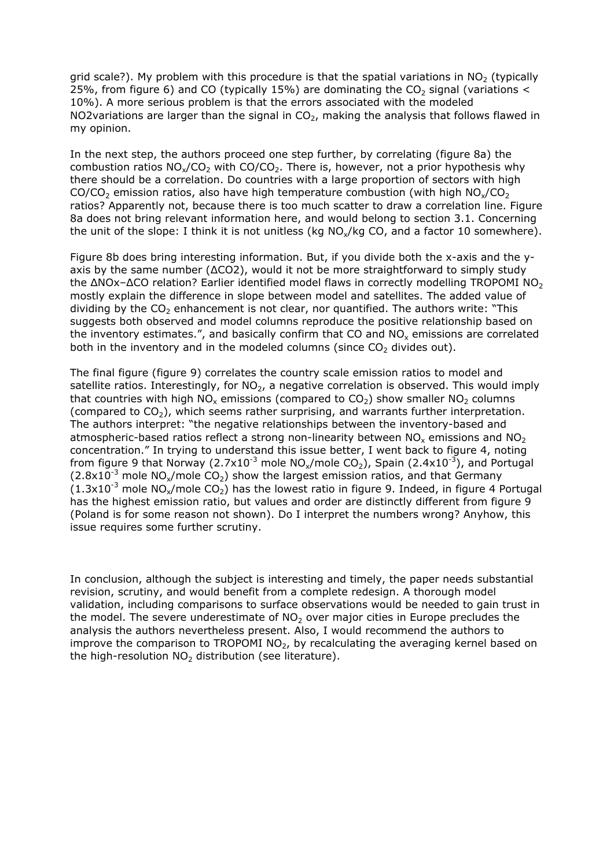grid scale?). My problem with this procedure is that the spatial variations in  $NO<sub>2</sub>$  (typically 25%, from figure 6) and CO (typically 15%) are dominating the  $CO<sub>2</sub>$  signal (variations < 10%). A more serious problem is that the errors associated with the modeled NO2variations are larger than the signal in  $CO<sub>2</sub>$ , making the analysis that follows flawed in my opinion.

In the next step, the authors proceed one step further, by correlating (figure 8a) the combustion ratios  $NO_x/CO_2$  with  $CO/CO_2$ . There is, however, not a prior hypothesis why there should be a correlation. Do countries with a large proportion of sectors with high CO/CO<sub>2</sub> emission ratios, also have high temperature combustion (with high  $NO_x/CO_2$ ) ratios? Apparently not, because there is too much scatter to draw a correlation line. Figure 8a does not bring relevant information here, and would belong to section 3.1. Concerning the unit of the slope: I think it is not unitless (kg  $NO<sub>x</sub>/kq$  CO, and a factor 10 somewhere).

Figure 8b does bring interesting information. But, if you divide both the x-axis and the yaxis by the same number ( $\Delta CO2$ ), would it not be more straightforward to simply study the  $\Delta$ NOx– $\Delta$ CO relation? Earlier identified model flaws in correctly modelling TROPOMI NO<sub>2</sub> mostly explain the difference in slope between model and satellites. The added value of dividing by the  $CO<sub>2</sub>$  enhancement is not clear, nor quantified. The authors write: "This suggests both observed and model columns reproduce the positive relationship based on the inventory estimates.", and basically confirm that CO and  $\rm NO_x$  emissions are correlated both in the inventory and in the modeled columns (since  $CO<sub>2</sub>$  divides out).

The final figure (figure 9) correlates the country scale emission ratios to model and satellite ratios. Interestingly, for  $NO<sub>2</sub>$ , a negative correlation is observed. This would imply that countries with high NO<sub>x</sub> emissions (compared to CO<sub>2</sub>) show smaller NO<sub>2</sub> columns (compared to  $CO<sub>2</sub>$ ), which seems rather surprising, and warrants further interpretation. The authors interpret: "the negative relationships between the inventory-based and atmospheric-based ratios reflect a strong non-linearity between NO<sub>x</sub> emissions and NO<sub>2</sub> concentration." In trying to understand this issue better, I went back to figure 4, noting from figure 9 that Norway  $(2.7x10^{-3}$  mole  $NO_x/mole CO_2$ ), Spain  $(2.4x10^{-3})$ , and Portugal  $(2.8\times10^{-3}$  mole NO<sub>x</sub>/mole CO<sub>2</sub>) show the largest emission ratios, and that Germany  $(1.3x10^{-3}$  mole NO<sub>x</sub>/mole CO<sub>2</sub>) has the lowest ratio in figure 9. Indeed, in figure 4 Portugal has the highest emission ratio, but values and order are distinctly different from figure 9 (Poland is for some reason not shown). Do I interpret the numbers wrong? Anyhow, this issue requires some further scrutiny.

In conclusion, although the subject is interesting and timely, the paper needs substantial revision, scrutiny, and would benefit from a complete redesign. A thorough model validation, including comparisons to surface observations would be needed to gain trust in the model. The severe underestimate of  $NO<sub>2</sub>$  over major cities in Europe precludes the analysis the authors nevertheless present. Also, I would recommend the authors to improve the comparison to TROPOMI  $NO<sub>2</sub>$ , by recalculating the averaging kernel based on the high-resolution  $NO<sub>2</sub>$  distribution (see literature).